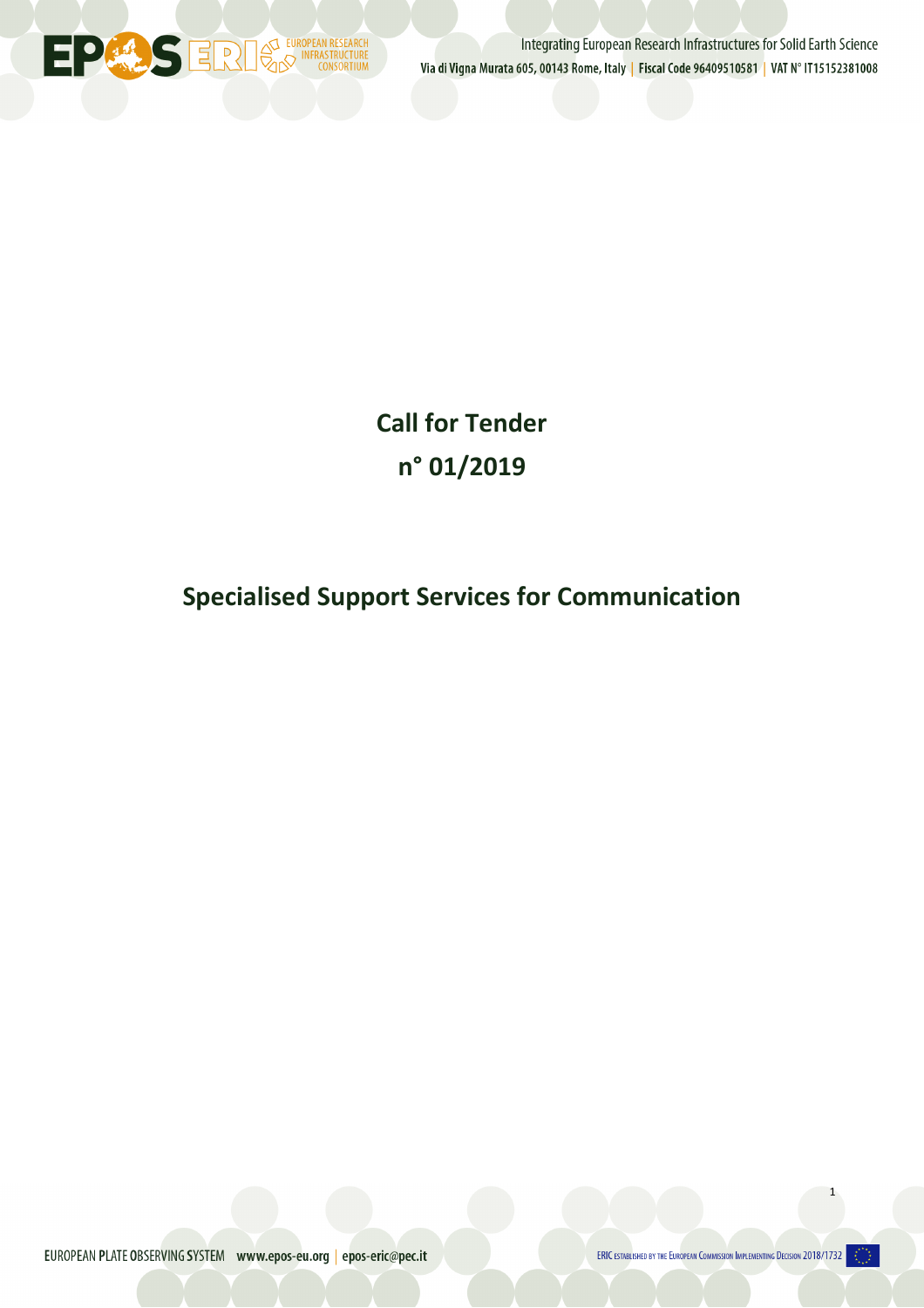

Integrating European Research Infrastructures for Solid Earth Science Via di Vigna Murata 605, 00143 Rome, Italy | Fiscal Code 96409510581 | VAT N° IT15152381008

**Call for Tender n° 01/2019**

# **Specialised Support Services for Communication**

EUROPEAN PLATE OBSERVING SYSTEM www.epos-eu.org | epos-eric@pec.it

ERIC ESTABLISHED BY THE EUROPEAN COMMISSION IMPLEMENTING DECISION 2018/1732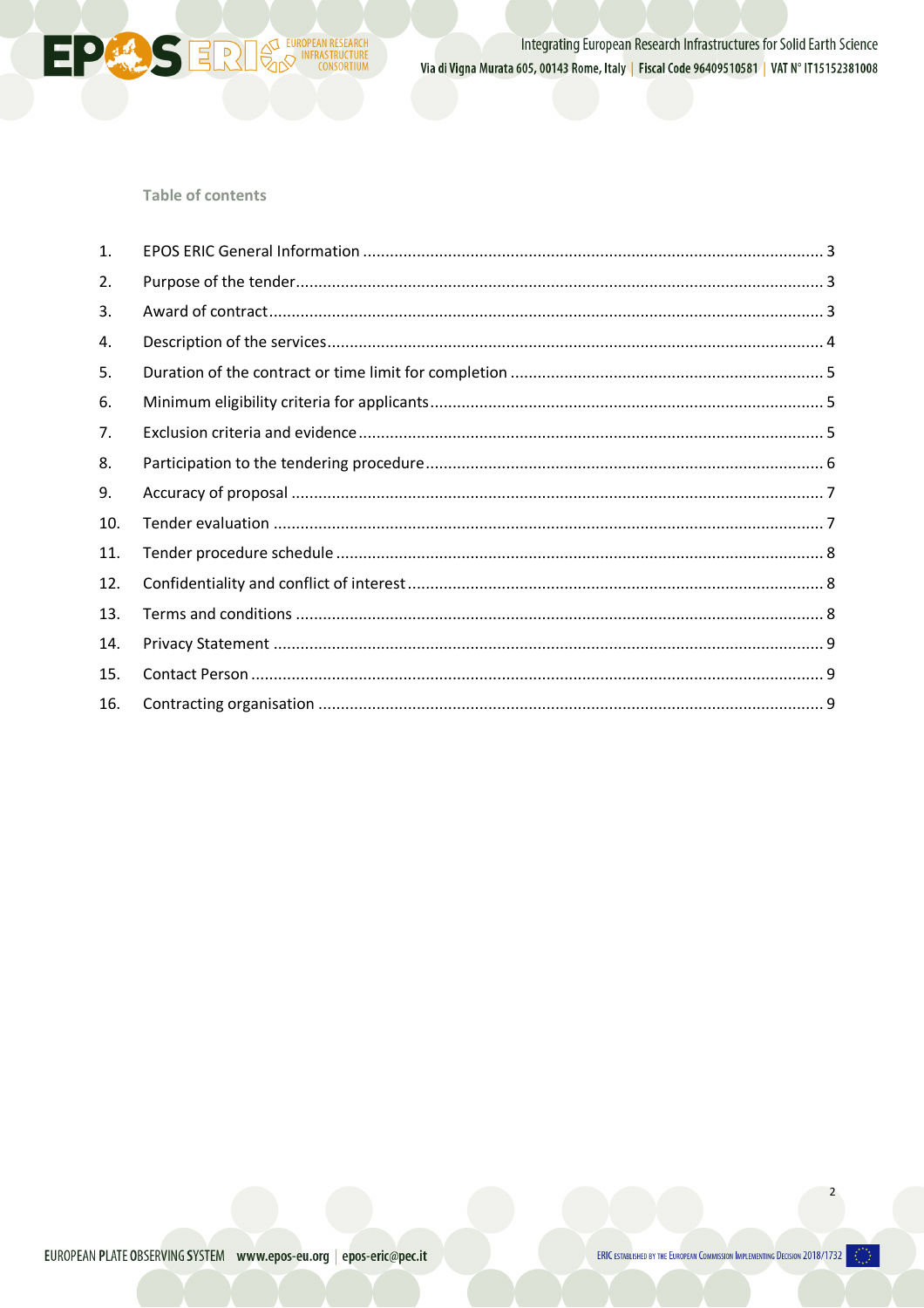

Integrating European Research Infrastructures for Solid Earth Science Via di Vigna Murata 605, 00143 Rome, Italy | Fiscal Code 96409510581 | VAT N° IT15152381008

# **Table of contents**

 $\overline{c}$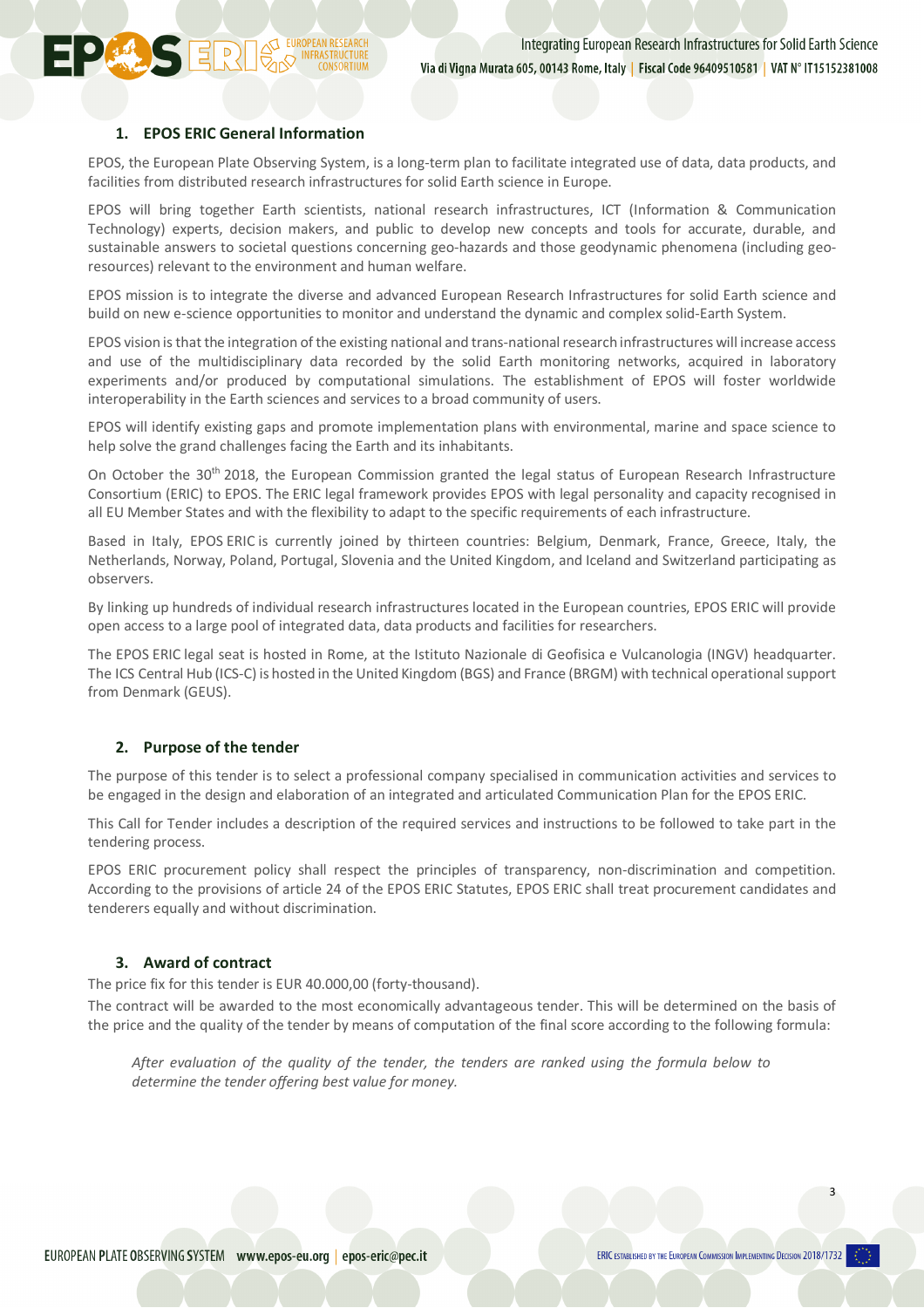### **1. EPOS ERIC General Information**

**DERIS ERRY ELECTROPEAN RESEARCH** 

EPOS, the European Plate Observing System, is a long-term plan to facilitate integrated use of data, data products, and facilities from distributed research infrastructures for solid Earth science in Europe.

EPOS will bring together Earth scientists, national research infrastructures, ICT (Information & Communication Technology) experts, decision makers, and public to develop new concepts and tools for accurate, durable, and sustainable answers to societal questions concerning geo-hazards and those geodynamic phenomena (including georesources) relevant to the environment and human welfare.

EPOS mission is to integrate the diverse and advanced European Research Infrastructures for solid Earth science and build on new e-science opportunities to monitor and understand the dynamic and complex solid-Earth System.

EPOS vision is that the integration of the existing national and trans-national research infrastructures will increase access and use of the multidisciplinary data recorded by the solid Earth monitoring networks, acquired in laboratory experiments and/or produced by computational simulations. The establishment of EPOS will foster worldwide interoperability in the Earth sciences and services to a broad community of users.

EPOS will identify existing gaps and promote implementation plans with environmental, marine and space science to help solve the grand challenges facing the Earth and its inhabitants.

On October the 30<sup>th</sup> 2018, the European Commission granted the legal status of European Research Infrastructure Consortium (ERIC) to EPOS. The ERIC legal framework provides EPOS with legal personality and capacity recognised in all EU Member States and with the flexibility to adapt to the specific requirements of each infrastructure.

Based in Italy, EPOS ERIC is currently joined by thirteen countries: Belgium, Denmark, France, Greece, Italy, the Netherlands, Norway, Poland, Portugal, Slovenia and the United Kingdom, and Iceland and Switzerland participating as observers.

By linking up hundreds of individual research infrastructures located in the European countries, EPOS ERIC will provide open access to a large pool of integrated data, data products and facilities for researchers.

The EPOS ERIC legal seat is hosted in Rome, at the Istituto Nazionale di Geofisica e Vulcanologia (INGV) headquarter. The ICS Central Hub (ICS-C) is hosted in the United Kingdom (BGS) and France (BRGM) with technical operational support from Denmark (GEUS).

# **2. Purpose of the tender**

The purpose of this tender is to select a professional company specialised in communication activities and services to be engaged in the design and elaboration of an integrated and articulated Communication Plan for the EPOS ERIC.

This Call for Tender includes a description of the required services and instructions to be followed to take part in the tendering process.

EPOS ERIC procurement policy shall respect the principles of transparency, non-discrimination and competition. According to the provisions of article 24 of the EPOS ERIC Statutes, EPOS ERIC shall treat procurement candidates and tenderers equally and without discrimination.

# **3. Award of contract**

The price fix for this tender is EUR 40.000,00 (forty-thousand).

The contract will be awarded to the most economically advantageous tender. This will be determined on the basis of the price and the quality of the tender by means of computation of the final score according to the following formula:

*After evaluation of the quality of the tender, the tenders are ranked using the formula below to determine the tender offering best value for money.*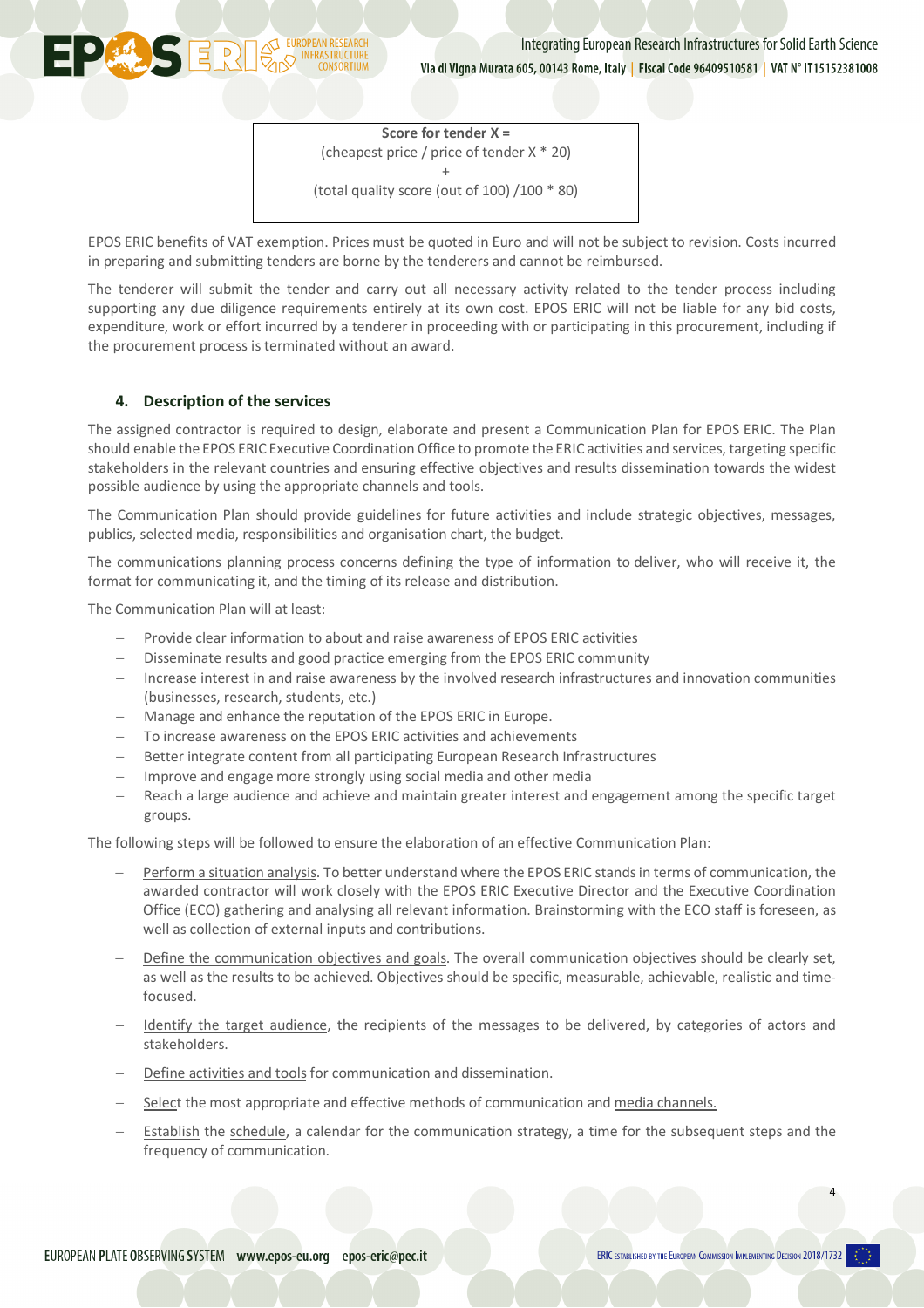**Score for tender X =** (cheapest price / price of tender X \* 20) + (total quality score (out of 100) /100 \* 80)

EPOS ERIC benefits of VAT exemption. Prices must be quoted in Euro and will not be subject to revision. Costs incurred in preparing and submitting tenders are borne by the tenderers and cannot be reimbursed.

The tenderer will submit the tender and carry out all necessary activity related to the tender process including supporting any due diligence requirements entirely at its own cost. EPOS ERIC will not be liable for any bid costs, expenditure, work or effort incurred by a tenderer in proceeding with or participating in this procurement, including if the procurement process is terminated without an award.

## **4. Description of the services**

**DERRESERVED INFRASTRUCTURE** 

The assigned contractor is required to design, elaborate and present a Communication Plan for EPOS ERIC. The Plan should enable the EPOS ERIC Executive Coordination Office to promote the ERIC activities and services, targeting specific stakeholders in the relevant countries and ensuring effective objectives and results dissemination towards the widest possible audience by using the appropriate channels and tools.

The Communication Plan should provide guidelines for future activities and include strategic objectives, messages, publics, selected media, responsibilities and organisation chart, the budget.

The communications planning process concerns defining the type of information to deliver, who will receive it, the format for communicating it, and the timing of its release and distribution.

The Communication Plan will at least:

- Provide clear information to about and raise awareness of EPOS ERIC activities
- Disseminate results and good practice emerging from the EPOS ERIC community
- Increase interest in and raise awareness by the involved research infrastructures and innovation communities (businesses, research, students, etc.)
- Manage and enhance the reputation of the EPOS ERIC in Europe.
- To increase awareness on the EPOS ERIC activities and achievements
- Better integrate content from all participating European Research Infrastructures
- Improve and engage more strongly using social media and other media
- Reach a large audience and achieve and maintain greater interest and engagement among the specific target groups.

The following steps will be followed to ensure the elaboration of an effective Communication Plan:

- Perform a situation analysis. To better understand where the EPOS ERIC stands in terms of communication, the awarded contractor will work closely with the EPOS ERIC Executive Director and the Executive Coordination Office (ECO) gathering and analysing all relevant information. Brainstorming with the ECO staff is foreseen, as well as collection of external inputs and contributions.
- Define the communication objectives and goals. The overall communication objectives should be clearly set, as well as the results to be achieved. Objectives should be specific, measurable, achievable, realistic and timefocused.
- Identify the target audience, the recipients of the messages to be delivered, by categories of actors and stakeholders.
- Define activities and tools for communication and dissemination.
- Select the most appropriate and effective methods of communication and media channels.
- Establish the schedule, a calendar for the communication strategy, a time for the subsequent steps and the frequency of communication.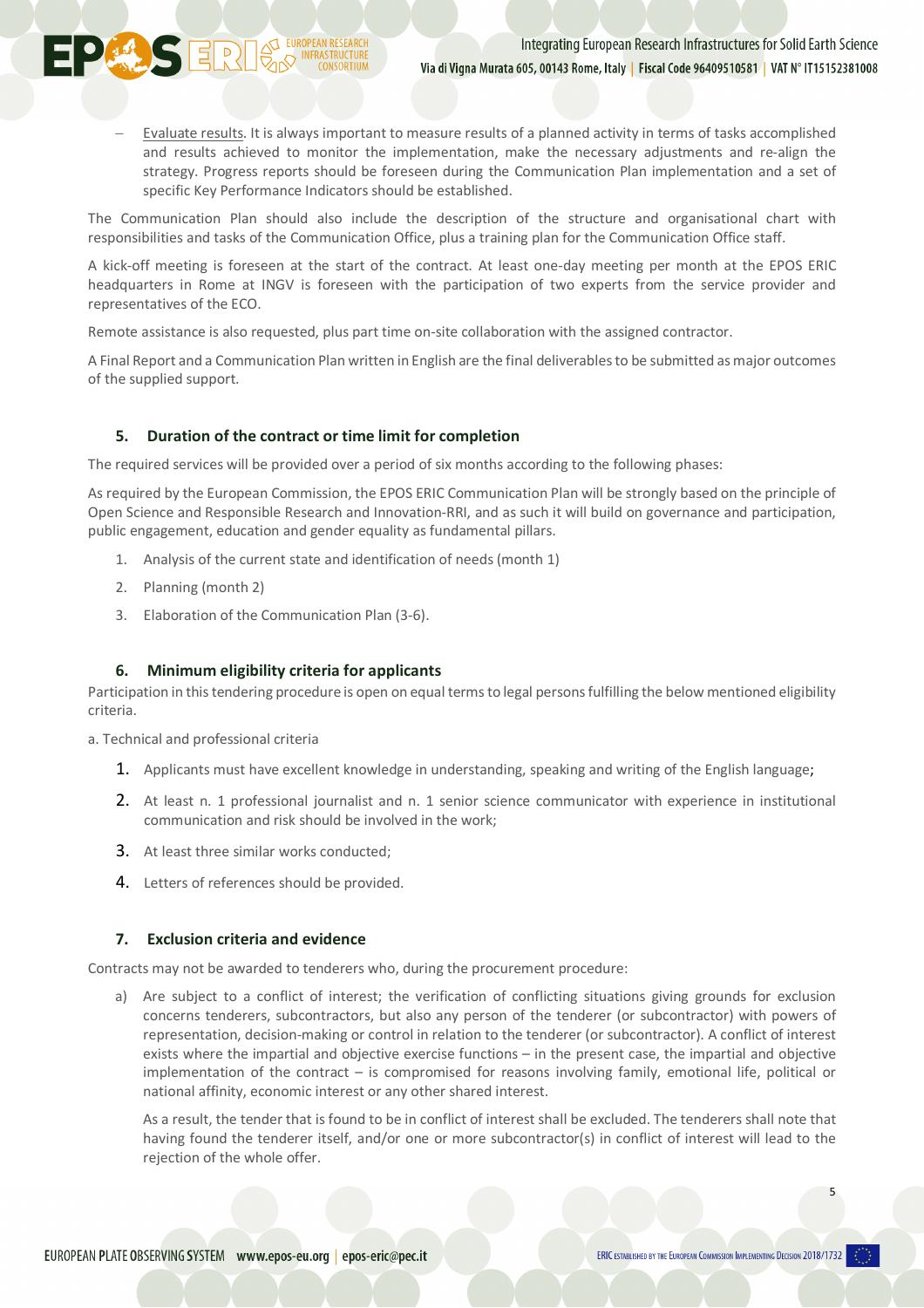- Evaluate results. It is always important to measure results of a planned activity in terms of tasks accomplished and results achieved to monitor the implementation, make the necessary adjustments and re-align the strategy. Progress reports should be foreseen during the Communication Plan implementation and a set of specific Key Performance Indicators should be established.

The Communication Plan should also include the description of the structure and organisational chart with responsibilities and tasks of the Communication Office, plus a training plan for the Communication Office staff.

A kick-off meeting is foreseen at the start of the contract. At least one-day meeting per month at the EPOS ERIC headquarters in Rome at INGV is foreseen with the participation of two experts from the service provider and representatives of the ECO.

Remote assistance is also requested, plus part time on-site collaboration with the assigned contractor.

A Final Report and a Communication Plan written in English are the final deliverables to be submitted as major outcomes of the supplied support.

## **5. Duration of the contract or time limit for completion**

The required services will be provided over a period of six months according to the following phases:

As required by the European Commission, the EPOS ERIC Communication Plan will be strongly based on the principle of Open Science and Responsible Research and Innovation-RRI, and as such it will build on governance and participation, public engagement, education and gender equality as fundamental pillars.

- 1. Analysis of the current state and identification of needs (month 1)
- 2. Planning (month 2)

**PERICERTE DESCRIPTION DES ENCHANGEMENT** 

3. Elaboration of the Communication Plan (3-6).

#### **6. Minimum eligibility criteria for applicants**

Participation in this tendering procedure is open on equal terms to legal persons fulfilling the below mentioned eligibility criteria.

a. Technical and professional criteria

- 1. Applicants must have excellent knowledge in understanding, speaking and writing of the English language;
- 2. At least n. 1 professional journalist and n. 1 senior science communicator with experience in institutional communication and risk should be involved in the work;
- 3. At least three similar works conducted;
- 4. Letters of references should be provided.

#### **7. Exclusion criteria and evidence**

Contracts may not be awarded to tenderers who, during the procurement procedure:

a) Are subject to a conflict of interest; the verification of conflicting situations giving grounds for exclusion concerns tenderers, subcontractors, but also any person of the tenderer (or subcontractor) with powers of representation, decision-making or control in relation to the tenderer (or subcontractor). A conflict of interest exists where the impartial and objective exercise functions – in the present case, the impartial and objective implementation of the contract – is compromised for reasons involving family, emotional life, political or national affinity, economic interest or any other shared interest.

As a result, the tender that is found to be in conflict of interest shall be excluded. The tenderers shall note that having found the tenderer itself, and/or one or more subcontractor(s) in conflict of interest will lead to the rejection of the whole offer.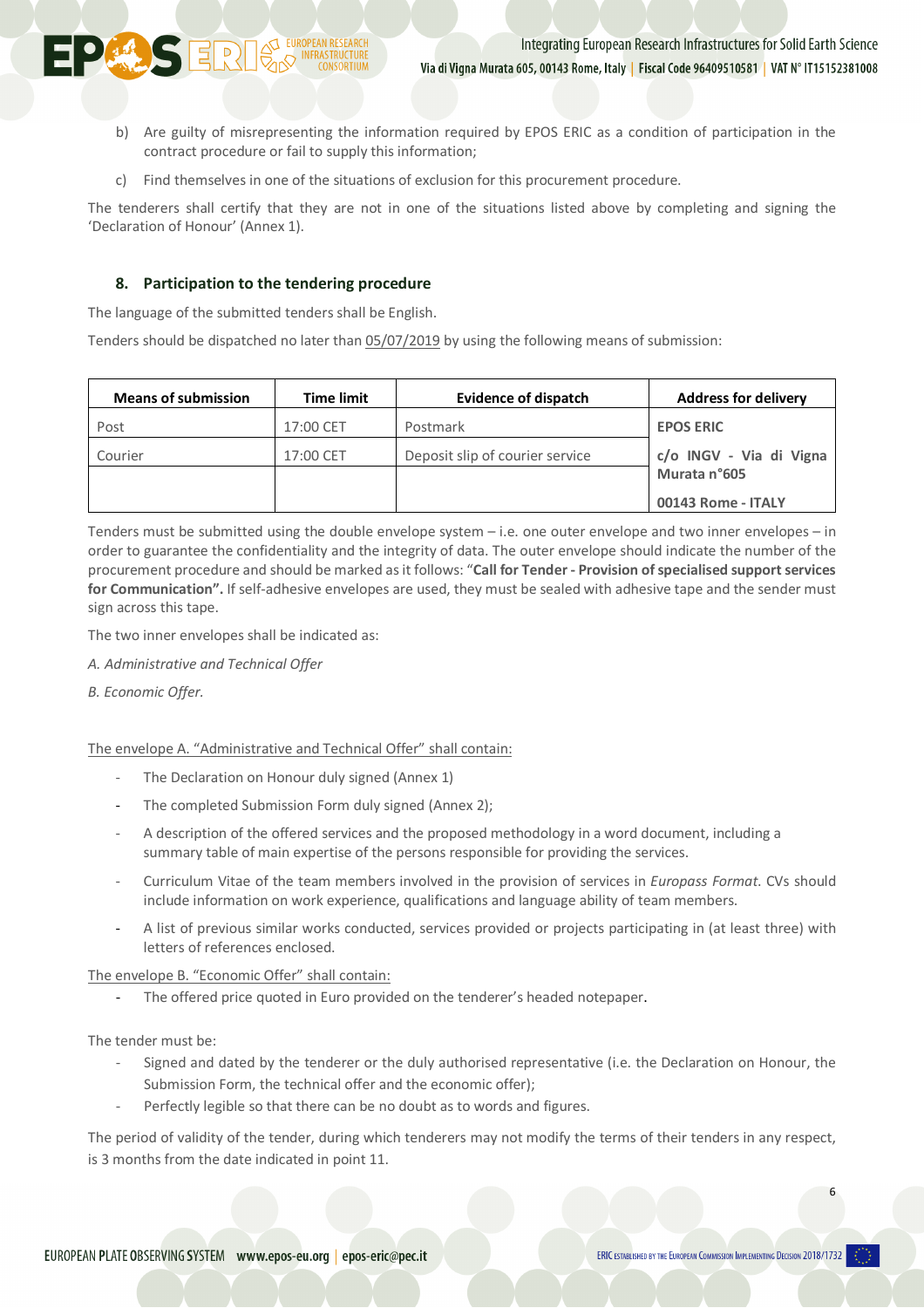- b) Are guilty of misrepresenting the information required by EPOS ERIC as a condition of participation in the contract procedure or fail to supply this information;
- c) Find themselves in one of the situations of exclusion for this procurement procedure.

The tenderers shall certify that they are not in one of the situations listed above by completing and signing the 'Declaration of Honour' (Annex 1).

## **8. Participation to the tendering procedure**

The language of the submitted tenders shall be English.

**PERISERIE DE L'EUROPEAN RESEARCH** 

Tenders should be dispatched no later than 05/07/2019 by using the following means of submission:

| <b>Means of submission</b> | <b>Time limit</b> | <b>Evidence of dispatch</b>     | <b>Address for delivery</b> |
|----------------------------|-------------------|---------------------------------|-----------------------------|
| Post                       | 17:00 CET         | Postmark                        | <b>EPOS ERIC</b>            |
| Courier                    | 17:00 CET         | Deposit slip of courier service | c/o INGV - Via di Vigna     |
|                            |                   |                                 | Murata n°605                |
|                            |                   |                                 | 00143 Rome - ITALY          |

Tenders must be submitted using the double envelope system – i.e. one outer envelope and two inner envelopes – in order to guarantee the confidentiality and the integrity of data. The outer envelope should indicate the number of the procurement procedure and should be marked as it follows: "**Call for Tender - Provision of specialised support services for Communication".** If self-adhesive envelopes are used, they must be sealed with adhesive tape and the sender must sign across this tape.

The two inner envelopes shall be indicated as:

- *A. Administrative and Technical Offer*
- *B. Economic Offer.*

The envelope A. "Administrative and Technical Offer" shall contain:

- The Declaration on Honour duly signed (Annex 1)
- The completed Submission Form duly signed (Annex 2);
- A description of the offered services and the proposed methodology in a word document, including a summary table of main expertise of the persons responsible for providing the services.
- Curriculum Vitae of the team members involved in the provision of services in *Europass Format*. CVs should include information on work experience, qualifications and language ability of team members.
- A list of previous similar works conducted, services provided or projects participating in (at least three) with letters of references enclosed.

The envelope B. "Economic Offer" shall contain:

- The offered price quoted in Euro provided on the tenderer's headed notepaper.

The tender must be:

- Signed and dated by the tenderer or the duly authorised representative (i.e. the Declaration on Honour, the Submission Form, the technical offer and the economic offer);
- Perfectly legible so that there can be no doubt as to words and figures.

The period of validity of the tender, during which tenderers may not modify the terms of their tenders in any respect, is 3 months from the date indicated in point 11.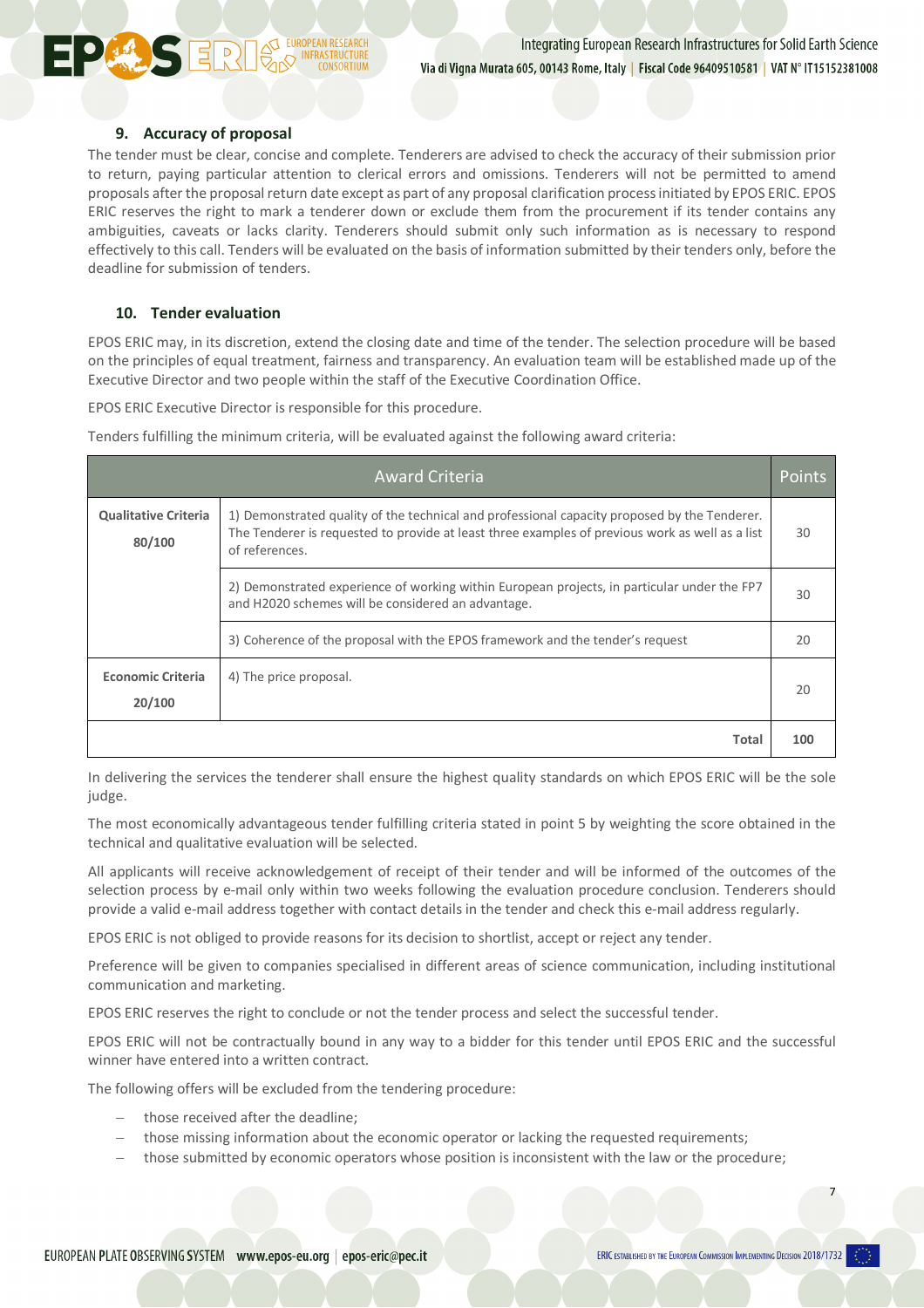## **9. Accuracy of proposal**

**PERICURBER INFRASTR** 

The tender must be clear, concise and complete. Tenderers are advised to check the accuracy of their submission prior to return, paying particular attention to clerical errors and omissions. Tenderers will not be permitted to amend proposals after the proposal return date except as part of any proposal clarification process initiated by EPOS ERIC. EPOS ERIC reserves the right to mark a tenderer down or exclude them from the procurement if its tender contains any ambiguities, caveats or lacks clarity. Tenderers should submit only such information as is necessary to respond effectively to this call. Tenders will be evaluated on the basis of information submitted by their tenders only, before the deadline for submission of tenders.

## **10. Tender evaluation**

EPOS ERIC may, in its discretion, extend the closing date and time of the tender. The selection procedure will be based on the principles of equal treatment, fairness and transparency. An evaluation team will be established made up of the Executive Director and two people within the staff of the Executive Coordination Office.

EPOS ERIC Executive Director is responsible for this procedure.

Tenders fulfilling the minimum criteria, will be evaluated against the following award criteria:

|                                       | <b>Award Criteria</b>                                                                                                                                                                                             | Points |
|---------------------------------------|-------------------------------------------------------------------------------------------------------------------------------------------------------------------------------------------------------------------|--------|
| <b>Qualitative Criteria</b><br>80/100 | 1) Demonstrated quality of the technical and professional capacity proposed by the Tenderer.<br>The Tenderer is requested to provide at least three examples of previous work as well as a list<br>of references. | 30     |
|                                       | 2) Demonstrated experience of working within European projects, in particular under the FP7<br>and H2020 schemes will be considered an advantage.                                                                 | 30     |
|                                       | 3) Coherence of the proposal with the EPOS framework and the tender's request                                                                                                                                     | 20     |
| <b>Economic Criteria</b><br>20/100    | 4) The price proposal.                                                                                                                                                                                            | 20     |
|                                       | Total                                                                                                                                                                                                             | 100    |

In delivering the services the tenderer shall ensure the highest quality standards on which EPOS ERIC will be the sole judge.

The most economically advantageous tender fulfilling criteria stated in point 5 by weighting the score obtained in the technical and qualitative evaluation will be selected.

All applicants will receive acknowledgement of receipt of their tender and will be informed of the outcomes of the selection process by e-mail only within two weeks following the evaluation procedure conclusion. Tenderers should provide a valid e-mail address together with contact details in the tender and check this e-mail address regularly.

EPOS ERIC is not obliged to provide reasons for its decision to shortlist, accept or reject any tender.

Preference will be given to companies specialised in different areas of science communication, including institutional communication and marketing.

EPOS ERIC reserves the right to conclude or not the tender process and select the successful tender.

EPOS ERIC will not be contractually bound in any way to a bidder for this tender until EPOS ERIC and the successful winner have entered into a written contract.

The following offers will be excluded from the tendering procedure:

- those received after the deadline:
- those missing information about the economic operator or lacking the requested requirements;
- those submitted by economic operators whose position is inconsistent with the law or the procedure;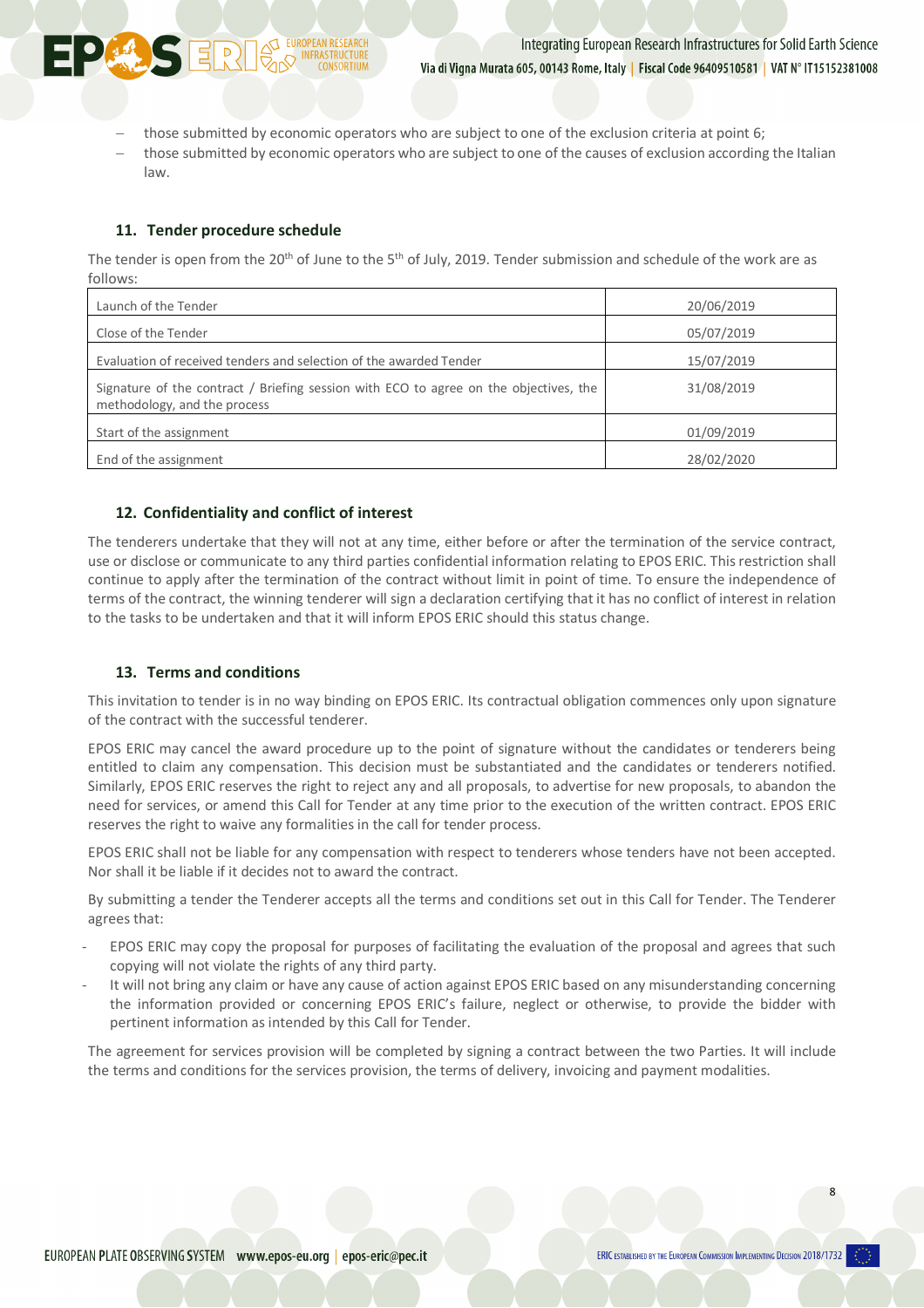

- those submitted by economic operators who are subject to one of the exclusion criteria at point 6;
- those submitted by economic operators who are subject to one of the causes of exclusion according the Italian law.

## **11. Tender procedure schedule**

The tender is open from the 20<sup>th</sup> of June to the 5<sup>th</sup> of July, 2019. Tender submission and schedule of the work are as follows:

| Launch of the Tender                                                                                                  | 20/06/2019 |
|-----------------------------------------------------------------------------------------------------------------------|------------|
| Close of the Tender                                                                                                   | 05/07/2019 |
| Evaluation of received tenders and selection of the awarded Tender                                                    | 15/07/2019 |
| Signature of the contract / Briefing session with ECO to agree on the objectives, the<br>methodology, and the process | 31/08/2019 |
| Start of the assignment                                                                                               | 01/09/2019 |
| End of the assignment                                                                                                 | 28/02/2020 |

## **12. Confidentiality and conflict of interest**

The tenderers undertake that they will not at any time, either before or after the termination of the service contract, use or disclose or communicate to any third parties confidential information relating to EPOS ERIC. This restriction shall continue to apply after the termination of the contract without limit in point of time. To ensure the independence of terms of the contract, the winning tenderer will sign a declaration certifying that it has no conflict of interest in relation to the tasks to be undertaken and that it will inform EPOS ERIC should this status change.

# **13. Terms and conditions**

This invitation to tender is in no way binding on EPOS ERIC. Its contractual obligation commences only upon signature of the contract with the successful tenderer.

EPOS ERIC may cancel the award procedure up to the point of signature without the candidates or tenderers being entitled to claim any compensation. This decision must be substantiated and the candidates or tenderers notified. Similarly, EPOS ERIC reserves the right to reject any and all proposals, to advertise for new proposals, to abandon the need for services, or amend this Call for Tender at any time prior to the execution of the written contract. EPOS ERIC reserves the right to waive any formalities in the call for tender process.

EPOS ERIC shall not be liable for any compensation with respect to tenderers whose tenders have not been accepted. Nor shall it be liable if it decides not to award the contract.

By submitting a tender the Tenderer accepts all the terms and conditions set out in this Call for Tender. The Tenderer agrees that:

- EPOS ERIC may copy the proposal for purposes of facilitating the evaluation of the proposal and agrees that such copying will not violate the rights of any third party.
- It will not bring any claim or have any cause of action against EPOS ERIC based on any misunderstanding concerning the information provided or concerning EPOS ERIC's failure, neglect or otherwise, to provide the bidder with pertinent information as intended by this Call for Tender.

The agreement for services provision will be completed by signing a contract between the two Parties. It will include the terms and conditions for the services provision, the terms of delivery, invoicing and payment modalities.